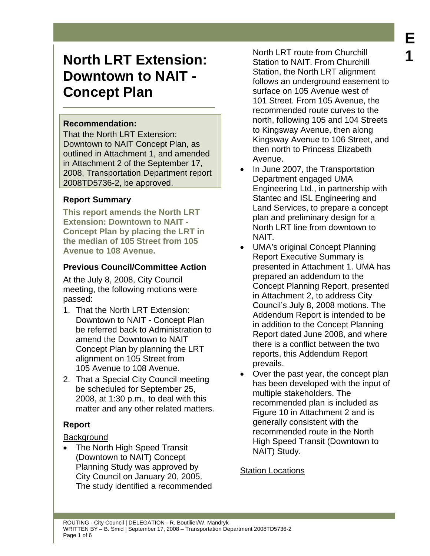## **Recommendation:**

That the North LRT Extension: Downtown to NAIT Concept Plan, as outlined in Attachment 1, and amended in Attachment 2 of the September 17, 2008, Transportation Department report 2008TD5736-2, be approved.

## **Report Summary**

**This report amends the North LRT Extension: Downtown to NAIT - Concept Plan by placing the LRT in the median of 105 Street from 105 Avenue to 108 Avenue.** 

# **Previous Council/Committee Action**

At the July 8, 2008, City Council meeting, the following motions were passed:

- 1. That the North LRT Extension: Downtown to NAIT - Concept Plan be referred back to Administration to amend the Downtown to NAIT Concept Plan by planning the LRT alignment on 105 Street from 105 Avenue to 108 Avenue.
- 2. That a Special City Council meeting be scheduled for September 25, 2008, at 1:30 p.m., to deal with this matter and any other related matters.

# **Report**

# **Background**

The North High Speed Transit (Downtown to NAIT) Concept Planning Study was approved by City Council on January 20, 2005. The study identified a recommended

North LRT route from Churchill Station to NAIT. From Churchill Station, the North LRT alignment follows an underground easement to surface on 105 Avenue west of 101 Street. From 105 Avenue, the recommended route curves to the north, following 105 and 104 Streets to Kingsway Avenue, then along Kingsway Avenue to 106 Street, and then north to Princess Elizabeth Avenue.

- In June 2007, the Transportation Department engaged UMA Engineering Ltd., in partnership with Stantec and ISL Engineering and Land Services, to prepare a concept plan and preliminary design for a North LRT line from downtown to NAIT.
- UMA's original Concept Planning Report Executive Summary is presented in Attachment 1. UMA has prepared an addendum to the Concept Planning Report, presented in Attachment 2, to address City Council's July 8, 2008 motions. The Addendum Report is intended to be in addition to the Concept Planning Report dated June 2008, and where there is a conflict between the two reports, this Addendum Report prevails.
- Over the past year, the concept plan has been developed with the input of multiple stakeholders. The recommended plan is included as Figure 10 in Attachment 2 and is generally consistent with the recommended route in the North High Speed Transit (Downtown to NAIT) Study.

# Station Locations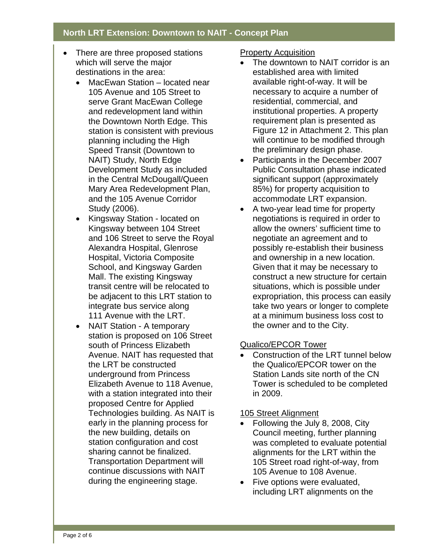- There are three proposed stations which will serve the major destinations in the area:
	- MacEwan Station located near 105 Avenue and 105 Street to serve Grant MacEwan College and redevelopment land within the Downtown North Edge. This station is consistent with previous planning including the High Speed Transit (Downtown to NAIT) Study, North Edge Development Study as included in the Central McDougall/Queen Mary Area Redevelopment Plan, and the 105 Avenue Corridor Study (2006).
	- Kingsway Station located on Kingsway between 104 Street and 106 Street to serve the Royal Alexandra Hospital, Glenrose Hospital, Victoria Composite School, and Kingsway Garden Mall. The existing Kingsway transit centre will be relocated to be adjacent to this LRT station to integrate bus service along 111 Avenue with the LRT.
	- NAIT Station A temporary station is proposed on 106 Street south of Princess Elizabeth Avenue. NAIT has requested that the LRT be constructed underground from Princess Elizabeth Avenue to 118 Avenue, with a station integrated into their proposed Centre for Applied Technologies building. As NAIT is early in the planning process for the new building, details on station configuration and cost sharing cannot be finalized. Transportation Department will continue discussions with NAIT during the engineering stage.

#### Property Acquisition

- The downtown to NAIT corridor is an established area with limited available right-of-way. It will be necessary to acquire a number of residential, commercial, and institutional properties. A property requirement plan is presented as Figure 12 in Attachment 2. This plan will continue to be modified through the preliminary design phase.
- Participants in the December 2007 Public Consultation phase indicated significant support (approximately 85%) for property acquisition to accommodate LRT expansion.
- A two-year lead time for property negotiations is required in order to allow the owners' sufficient time to negotiate an agreement and to possibly re-establish their business and ownership in a new location. Given that it may be necessary to construct a new structure for certain situations, which is possible under expropriation, this process can easily take two years or longer to complete at a minimum business loss cost to the owner and to the City.

# Qualico/EPCOR Tower

• Construction of the LRT tunnel below the Qualico/EPCOR tower on the Station Lands site north of the CN Tower is scheduled to be completed in 2009.

## 105 Street Alignment

- Following the July 8, 2008, City Council meeting, further planning was completed to evaluate potential alignments for the LRT within the 105 Street road right-of-way, from 105 Avenue to 108 Avenue.
- Five options were evaluated, including LRT alignments on the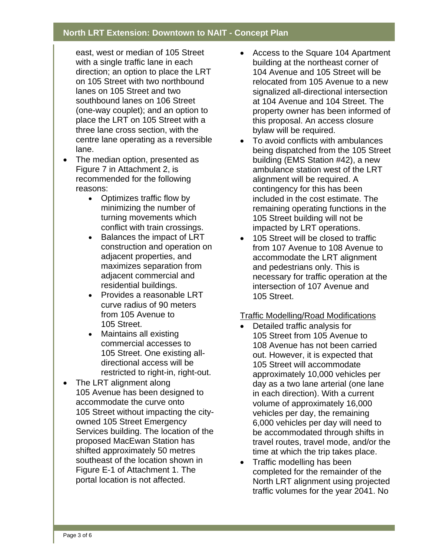east, west or median of 105 Street with a single traffic lane in each direction; an option to place the LRT on 105 Street with two northbound lanes on 105 Street and two southbound lanes on 106 Street (one-way couplet); and an option to place the LRT on 105 Street with a three lane cross section, with the centre lane operating as a reversible lane.

- The median option, presented as Figure 7 in Attachment 2, is recommended for the following reasons:
	- Optimizes traffic flow by minimizing the number of turning movements which conflict with train crossings.
	- Balances the impact of LRT construction and operation on adjacent properties, and maximizes separation from adjacent commercial and residential buildings.
	- Provides a reasonable LRT curve radius of 90 meters from 105 Avenue to 105 Street.
	- Maintains all existing commercial accesses to 105 Street. One existing alldirectional access will be restricted to right-in, right-out.
- The LRT alignment along 105 Avenue has been designed to accommodate the curve onto 105 Street without impacting the cityowned 105 Street Emergency Services building. The location of the proposed MacEwan Station has shifted approximately 50 metres southeast of the location shown in Figure E-1 of Attachment 1. The portal location is not affected.
- Access to the Square 104 Apartment building at the northeast corner of 104 Avenue and 105 Street will be relocated from 105 Avenue to a new signalized all-directional intersection at 104 Avenue and 104 Street. The property owner has been informed of this proposal. An access closure bylaw will be required.
- To avoid conflicts with ambulances being dispatched from the 105 Street building (EMS Station #42), a new ambulance station west of the LRT alignment will be required. A contingency for this has been included in the cost estimate. The remaining operating functions in the 105 Street building will not be impacted by LRT operations.
- 105 Street will be closed to traffic from 107 Avenue to 108 Avenue to accommodate the LRT alignment and pedestrians only. This is necessary for traffic operation at the intersection of 107 Avenue and 105 Street.

#### Traffic Modelling/Road Modifications

- Detailed traffic analysis for 105 Street from 105 Avenue to 108 Avenue has not been carried out. However, it is expected that 105 Street will accommodate approximately 10,000 vehicles per day as a two lane arterial (one lane in each direction). With a current volume of approximately 16,000 vehicles per day, the remaining 6,000 vehicles per day will need to be accommodated through shifts in travel routes, travel mode, and/or the time at which the trip takes place.
- Traffic modelling has been completed for the remainder of the North LRT alignment using projected traffic volumes for the year 2041. No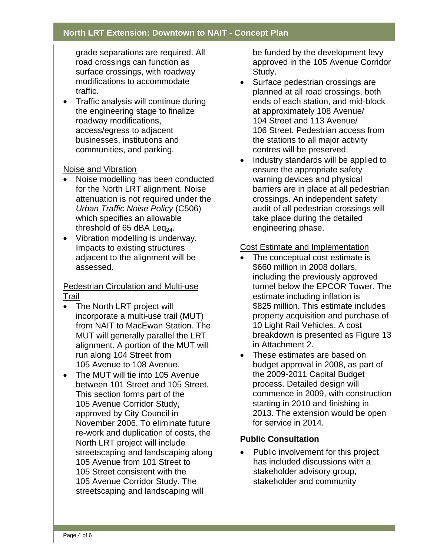grade separations are required. All road crossings can function as surface crossings, with roadway modifications to accommodate traffic.

• Traffic analysis will continue during the engineering stage to finalize roadway modifications, access/egress to adjacent businesses, institutions and communities, and parking.

## Noise and Vibration

- Noise modelling has been conducted for the North LRT alignment. Noise attenuation is not required under the *Urban Traffic Noise Policy* (C506) which specifies an allowable threshold of 65 dBA Leq $_{24}$ .
- Vibration modelling is underway. Impacts to existing structures adjacent to the alignment will be assessed.

## Pedestrian Circulation and Multi-use Trail

- The North LRT project will incorporate a multi-use trail (MUT) from NAIT to MacEwan Station. The MUT will generally parallel the LRT alignment. A portion of the MUT will run along 104 Street from 105 Avenue to 108 Avenue.
- The MUT will tie into 105 Avenue between 101 Street and 105 Street. This section forms part of the 105 Avenue Corridor Study, approved by City Council in November 2006. To eliminate future re-work and duplication of costs, the North LRT project will include streetscaping and landscaping along 105 Avenue from 101 Street to 105 Street consistent with the 105 Avenue Corridor Study. The streetscaping and landscaping will

be funded by the development levy approved in the 105 Avenue Corridor Study.

- Surface pedestrian crossings are planned at all road crossings, both ends of each station, and mid-block at approximately 108 Avenue/ 104 Street and 113 Avenue/ 106 Street. Pedestrian access from the stations to all major activity centres will be preserved.
- Industry standards will be applied to ensure the appropriate safety warning devices and physical barriers are in place at all pedestrian crossings. An independent safety audit of all pedestrian crossings will take place during the detailed engineering phase.

## Cost Estimate and Implementation

- The conceptual cost estimate is \$660 million in 2008 dollars, including the previously approved tunnel below the EPCOR Tower. The estimate including inflation is \$825 million. This estimate includes property acquisition and purchase of 10 Light Rail Vehicles. A cost breakdown is presented as Figure 13 in Attachment 2.
- These estimates are based on budget approval in 2008, as part of the 2009-2011 Capital Budget process. Detailed design will commence in 2009, with construction starting in 2010 and finishing in 2013. The extension would be open for service in 2014.

# **Public Consultation**

• Public involvement for this project has included discussions with a stakeholder advisory group, stakeholder and community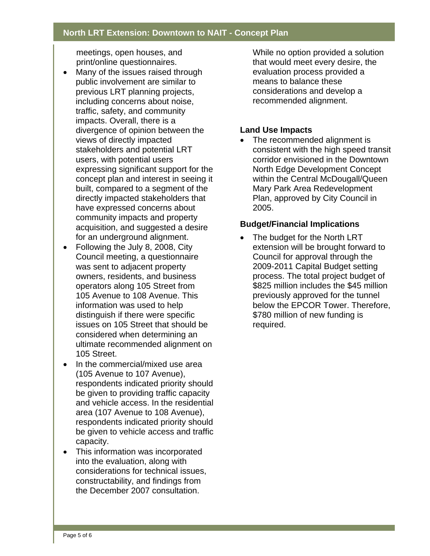meetings, open houses, and print/online questionnaires.

- Many of the issues raised through public involvement are similar to previous LRT planning projects, including concerns about noise, traffic, safety, and community impacts. Overall, there is a divergence of opinion between the views of directly impacted stakeholders and potential LRT users, with potential users expressing significant support for the concept plan and interest in seeing it built, compared to a segment of the directly impacted stakeholders that have expressed concerns about community impacts and property acquisition, and suggested a desire for an underground alignment.
- Following the July 8, 2008, City Council meeting, a questionnaire was sent to adjacent property owners, residents, and business operators along 105 Street from 105 Avenue to 108 Avenue. This information was used to help distinguish if there were specific issues on 105 Street that should be considered when determining an ultimate recommended alignment on 105 Street.
- In the commercial/mixed use area (105 Avenue to 107 Avenue), respondents indicated priority should be given to providing traffic capacity and vehicle access. In the residential area (107 Avenue to 108 Avenue), respondents indicated priority should be given to vehicle access and traffic capacity.
- This information was incorporated into the evaluation, along with considerations for technical issues, constructability, and findings from the December 2007 consultation.

While no option provided a solution that would meet every desire, the evaluation process provided a means to balance these considerations and develop a recommended alignment.

### **Land Use Impacts**

The recommended alignment is consistent with the high speed transit corridor envisioned in the Downtown North Edge Development Concept within the Central McDougall/Queen Mary Park Area Redevelopment Plan, approved by City Council in 2005.

#### **Budget/Financial Implications**

• The budget for the North LRT extension will be brought forward to Council for approval through the 2009-2011 Capital Budget setting process. The total project budget of \$825 million includes the \$45 million previously approved for the tunnel below the EPCOR Tower. Therefore, \$780 million of new funding is required.